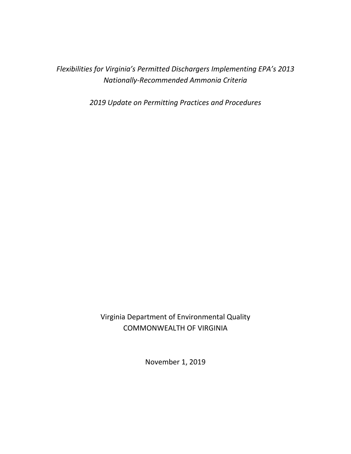*Flexibilities for Virginia's Permitted Dischargers Implementing EPA's 2013 Nationally-Recommended Ammonia Criteria*

*2019 Update on Permitting Practices and Procedures*

Virginia Department of Environmental Quality COMMONWEALTH OF VIRGINIA

November 1, 2019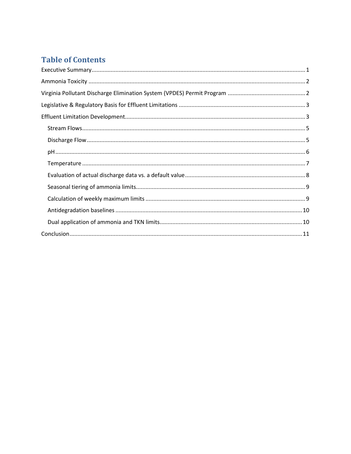## **Table of Contents**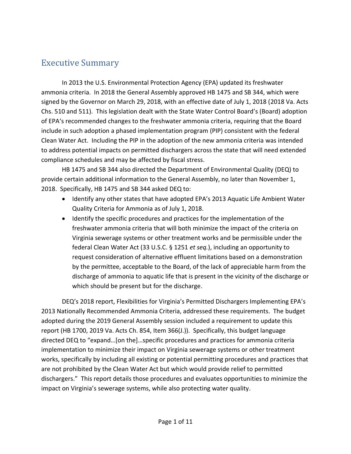## <span id="page-2-0"></span>Executive Summary

In 2013 the U.S. Environmental Protection Agency (EPA) updated its freshwater ammonia criteria. In 2018 the General Assembly approved HB 1475 and SB 344, which were signed by the Governor on March 29, 2018, with an effective date of July 1, 2018 (2018 Va. Acts Chs. 510 and 511). This legislation dealt with the State Water Control Board's (Board) adoption of EPA's recommended changes to the freshwater ammonia criteria, requiring that the Board include in such adoption a phased implementation program (PIP) consistent with the federal Clean Water Act. Including the PIP in the adoption of the new ammonia criteria was intended to address potential impacts on permitted dischargers across the state that will need extended compliance schedules and may be affected by fiscal stress.

HB 1475 and SB 344 also directed the Department of Environmental Quality (DEQ) to provide certain additional information to the General Assembly, no later than November 1, 2018. Specifically, HB 1475 and SB 344 asked DEQ to:

- Identify any other states that have adopted EPA's 2013 Aquatic Life Ambient Water Quality Criteria for Ammonia as of July 1, 2018.
- Identify the specific procedures and practices for the implementation of the freshwater ammonia criteria that will both minimize the impact of the criteria on Virginia sewerage systems or other treatment works and be permissible under the federal Clean Water Act (33 U.S.C. § 1251 *et seq.*), including an opportunity to request consideration of alternative effluent limitations based on a demonstration by the permittee, acceptable to the Board, of the lack of appreciable harm from the discharge of ammonia to aquatic life that is present in the vicinity of the discharge or which should be present but for the discharge.

DEQ's 2018 report, Flexibilities for Virginia's Permitted Dischargers Implementing EPA's 2013 Nationally Recommended Ammonia Criteria, addressed these requirements. The budget adopted during the 2019 General Assembly session included a requirement to update this report (HB 1700, 2019 Va. Acts Ch. 854, Item 366(J.)). Specifically, this budget language directed DEQ to "expand…[on the]…specific procedures and practices for ammonia criteria implementation to minimize their impact on Virginia sewerage systems or other treatment works, specifically by including all existing or potential permitting procedures and practices that are not prohibited by the Clean Water Act but which would provide relief to permitted dischargers." This report details those procedures and evaluates opportunities to minimize the impact on Virginia's sewerage systems, while also protecting water quality.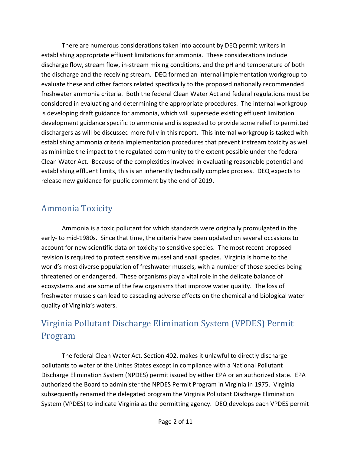There are numerous considerations taken into account by DEQ permit writers in establishing appropriate effluent limitations for ammonia. These considerations include discharge flow, stream flow, in-stream mixing conditions, and the pH and temperature of both the discharge and the receiving stream. DEQ formed an internal implementation workgroup to evaluate these and other factors related specifically to the proposed nationally recommended freshwater ammonia criteria. Both the federal Clean Water Act and federal regulations must be considered in evaluating and determining the appropriate procedures. The internal workgroup is developing draft guidance for ammonia, which will supersede existing effluent limitation development guidance specific to ammonia and is expected to provide some relief to permitted dischargers as will be discussed more fully in this report. This internal workgroup is tasked with establishing ammonia criteria implementation procedures that prevent instream toxicity as well as minimize the impact to the regulated community to the extent possible under the federal Clean Water Act. Because of the complexities involved in evaluating reasonable potential and establishing effluent limits, this is an inherently technically complex process. DEQ expects to release new guidance for public comment by the end of 2019.

## <span id="page-3-0"></span>Ammonia Toxicity

Ammonia is a toxic pollutant for which standards were originally promulgated in the early- to mid-1980s. Since that time, the criteria have been updated on several occasions to account for new scientific data on toxicity to sensitive species. The most recent proposed revision is required to protect sensitive mussel and snail species. Virginia is home to the world's most diverse population of freshwater mussels, with a number of those species being threatened or endangered. These organisms play a vital role in the delicate balance of ecosystems and are some of the few organisms that improve water quality. The loss of freshwater mussels can lead to cascading adverse effects on the chemical and biological water quality of Virginia's waters.

# <span id="page-3-1"></span>Virginia Pollutant Discharge Elimination System (VPDES) Permit Program

The federal Clean Water Act, Section 402, makes it unlawful to directly discharge pollutants to water of the Unites States except in compliance with a National Pollutant Discharge Elimination System (NPDES) permit issued by either EPA or an authorized state. EPA authorized the Board to administer the NPDES Permit Program in Virginia in 1975. Virginia subsequently renamed the delegated program the Virginia Pollutant Discharge Elimination System (VPDES) to indicate Virginia as the permitting agency. DEQ develops each VPDES permit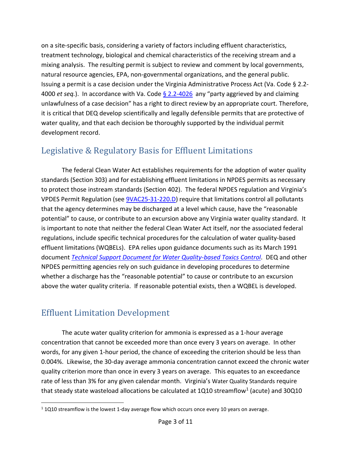on a site-specific basis, considering a variety of factors including effluent characteristics, treatment technology, biological and chemical characteristics of the receiving stream and a mixing analysis. The resulting permit is subject to review and comment by local governments, natural resource agencies, EPA, non-governmental organizations, and the general public. Issuing a permit is a case decision under the Virginia Administrative Process Act (Va. Code § 2.2- 4000 *et seq.*). In accordance with Va. Code [§ 2.2-4026](https://law.lis.virginia.gov/vacode/title2.2/chapter40/section2.2-4026/) any "party aggrieved by and claiming unlawfulness of a case decision" has a right to direct review by an appropriate court. Therefore, it is critical that DEQ develop scientifically and legally defensible permits that are protective of water quality, and that each decision be thoroughly supported by the individual permit development record.

## <span id="page-4-0"></span>Legislative & Regulatory Basis for Effluent Limitations

The federal Clean Water Act establishes requirements for the adoption of water quality standards (Section 303) and for establishing effluent limitations in NPDES permits as necessary to protect those instream standards (Section 402). The federal NPDES regulation and Virginia's VPDES Permit Regulation (see [9VAC25-31-220.D\)](https://law.lis.virginia.gov/admincode/title9/agency25/chapter31/section220/) require that limitations control all pollutants that the agency determines may be discharged at a level which cause, have the "reasonable potential" to cause, or contribute to an excursion above any Virginia water quality standard. It is important to note that neither the federal Clean Water Act itself, nor the associated federal regulations, include specific technical procedures for the calculation of water quality-based effluent limitations (WQBELs). EPA relies upon guidance documents such as its March 1991 document *[Technical Support Document for Water Quality-based Toxics Control](https://www3.epa.gov/npdes/pubs/owm0264.pdf)*. DEQ and other NPDES permitting agencies rely on such guidance in developing procedures to determine whether a discharge has the "reasonable potential" to cause or contribute to an excursion above the water quality criteria. If reasonable potential exists, then a WQBEL is developed.

## <span id="page-4-1"></span>Effluent Limitation Development

 $\overline{\phantom{a}}$ 

The acute water quality criterion for ammonia is expressed as a 1-hour average concentration that cannot be exceeded more than once every 3 years on average. In other words, for any given 1-hour period, the chance of exceeding the criterion should be less than 0.004%. Likewise, the 30-day average ammonia concentration cannot exceed the chronic water quality criterion more than once in every 3 years on average. This equates to an exceedance rate of less than 3% for any given calendar month. Virginia's Water Quality Standards require that steady state wasteload allocations be calculated at 1Q10 streamflow<sup>1</sup> (acute) and 30Q10

<sup>&</sup>lt;sup>1</sup> 1Q10 streamflow is the lowest 1-day average flow which occurs once every 10 years on average.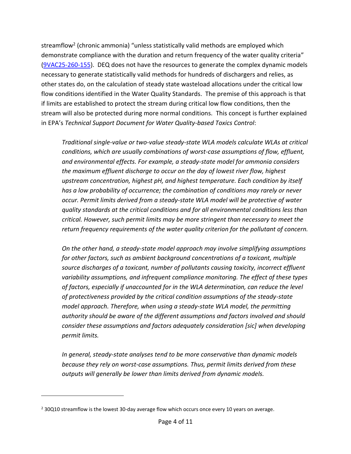streamflow<sup>2</sup> (chronic ammonia) "unless statistically valid methods are employed which demonstrate compliance with the duration and return frequency of the water quality criteria" [\(9VAC25-260-155\)](https://law.lis.virginia.gov/admincode/title9/agency25/chapter260/section155/). DEQ does not have the resources to generate the complex dynamic models necessary to generate statistically valid methods for hundreds of dischargers and relies, as other states do, on the calculation of steady state wasteload allocations under the critical low flow conditions identified in the Water Quality Standards. The premise of this approach is that if limits are established to protect the stream during critical low flow conditions, then the stream will also be protected during more normal conditions. This concept is further explained in EPA's *Technical Support Document for Water Quality-based Toxics Control*:

*Traditional single-value or two-value steady-state WLA models calculate WLAs at critical conditions, which are usually combinations of worst-case assumptions of flow, effluent, and environmental effects. For example, a steady-state model for ammonia considers the maximum effluent discharge to occur on the day of lowest river flow, highest upstream concentration, highest pH, and highest temperature. Each condition by itself has a low probability of occurrence; the combination of conditions may rarely or never occur. Permit limits derived from a steady-state WLA model will be protective of water quality standards at the critical conditions and for all environmental conditions less than critical. However, such permit limits may be more stringent than necessary to meet the return frequency requirements of the water quality criterion for the pollutant of concern.*

*On the other hand, a steady-state model approach may involve simplifying assumptions for other factors, such as ambient background concentrations of a toxicant, multiple source discharges of a toxicant, number of pollutants causing toxicity, incorrect effluent variability assumptions, and infrequent compliance monitoring. The effect of these types of factors, especially if unaccounted for in the WLA determination, can reduce the level of protectiveness provided by the critical condition assumptions of the steady-state model approach. Therefore, when using a steady-state WLA model, the permitting authority should be aware of the different assumptions and factors involved and should consider these assumptions and factors adequately consideration [sic] when developing permit limits.*

*In general, steady-state analyses tend to be more conservative than dynamic models because they rely on worst-case assumptions. Thus, permit limits derived from these outputs will generally be lower than limits derived from dynamic models.*

 $\overline{\phantom{a}}$ 

<sup>&</sup>lt;sup>2</sup> 30Q10 streamflow is the lowest 30-day average flow which occurs once every 10 years on average.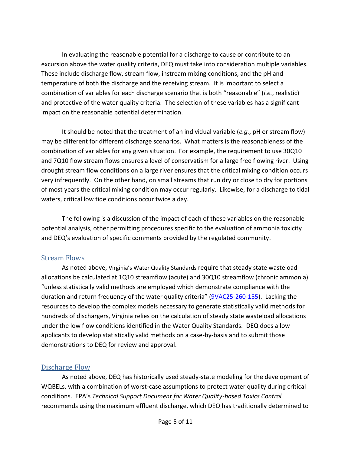In evaluating the reasonable potential for a discharge to cause or contribute to an excursion above the water quality criteria, DEQ must take into consideration multiple variables. These include discharge flow, stream flow, instream mixing conditions, and the pH and temperature of both the discharge and the receiving stream. It is important to select a combination of variables for each discharge scenario that is both "reasonable" (*i.e.*, realistic) and protective of the water quality criteria. The selection of these variables has a significant impact on the reasonable potential determination.

It should be noted that the treatment of an individual variable (*e.g.*, pH or stream flow) may be different for different discharge scenarios. What matters is the reasonableness of the combination of variables for any given situation. For example, the requirement to use 30Q10 and 7Q10 flow stream flows ensures a level of conservatism for a large free flowing river. Using drought stream flow conditions on a large river ensures that the critical mixing condition occurs very infrequently. On the other hand, on small streams that run dry or close to dry for portions of most years the critical mixing condition may occur regularly. Likewise, for a discharge to tidal waters, critical low tide conditions occur twice a day.

The following is a discussion of the impact of each of these variables on the reasonable potential analysis, other permitting procedures specific to the evaluation of ammonia toxicity and DEQ's evaluation of specific comments provided by the regulated community.

#### <span id="page-6-0"></span>Stream Flows

As noted above, Virginia's Water Quality Standards require that steady state wasteload allocations be calculated at 1Q10 streamflow (acute) and 30Q10 streamflow (chronic ammonia) "unless statistically valid methods are employed which demonstrate compliance with the duration and return frequency of the water quality criteria" [\(9VAC25-260-155\)](https://law.lis.virginia.gov/admincode/title9/agency25/chapter260/section155/). Lacking the resources to develop the complex models necessary to generate statistically valid methods for hundreds of dischargers, Virginia relies on the calculation of steady state wasteload allocations under the low flow conditions identified in the Water Quality Standards. DEQ does allow applicants to develop statistically valid methods on a case-by-basis and to submit those demonstrations to DEQ for review and approval.

#### <span id="page-6-1"></span>Discharge Flow

As noted above, DEQ has historically used steady-state modeling for the development of WQBELs, with a combination of worst-case assumptions to protect water quality during critical conditions. EPA's *Technical Support Document for Water Quality-based Toxics Control* recommends using the maximum effluent discharge, which DEQ has traditionally determined to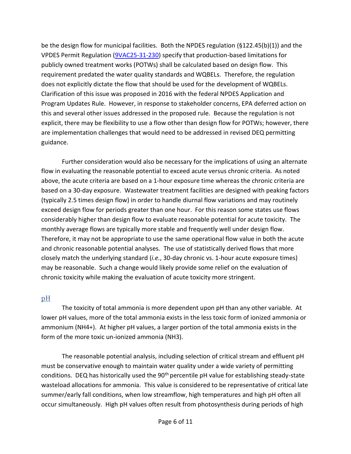be the design flow for municipal facilities. Both the NPDES regulation (§122.45(b)(1)) and the VPDES Permit Regulation [\(9VAC25-31-230\)](https://law.lis.virginia.gov/admincode/title9/agency25/chapter31/section230/) specify that production-based limitations for publicly owned treatment works (POTWs) shall be calculated based on design flow. This requirement predated the water quality standards and WQBELs. Therefore, the regulation does not explicitly dictate the flow that should be used for the development of WQBELs. Clarification of this issue was proposed in 2016 with the federal NPDES Application and Program Updates Rule. However, in response to stakeholder concerns, EPA deferred action on this and several other issues addressed in the proposed rule. Because the regulation is not explicit, there may be flexibility to use a flow other than design flow for POTWs; however, there are implementation challenges that would need to be addressed in revised DEQ permitting guidance.

Further consideration would also be necessary for the implications of using an alternate flow in evaluating the reasonable potential to exceed acute versus chronic criteria. As noted above, the acute criteria are based on a 1-hour exposure time whereas the chronic criteria are based on a 30-day exposure. Wastewater treatment facilities are designed with peaking factors (typically 2.5 times design flow) in order to handle diurnal flow variations and may routinely exceed design flow for periods greater than one hour. For this reason some states use flows considerably higher than design flow to evaluate reasonable potential for acute toxicity. The monthly average flows are typically more stable and frequently well under design flow. Therefore, it may not be appropriate to use the same operational flow value in both the acute and chronic reasonable potential analyses. The use of statistically derived flows that more closely match the underlying standard (*i.e.*, 30-day chronic vs. 1-hour acute exposure times) may be reasonable. Such a change would likely provide some relief on the evaluation of chronic toxicity while making the evaluation of acute toxicity more stringent.

#### <span id="page-7-0"></span>pH

The toxicity of total ammonia is more dependent upon pH than any other variable. At lower pH values, more of the total ammonia exists in the less toxic form of ionized ammonia or ammonium (NH4+). At higher pH values, a larger portion of the total ammonia exists in the form of the more toxic un-ionized ammonia (NH3).

The reasonable potential analysis, including selection of critical stream and effluent pH must be conservative enough to maintain water quality under a wide variety of permitting conditions. DEQ has historically used the 90<sup>th</sup> percentile pH value for establishing steady-state wasteload allocations for ammonia. This value is considered to be representative of critical late summer/early fall conditions, when low streamflow, high temperatures and high pH often all occur simultaneously. High pH values often result from photosynthesis during periods of high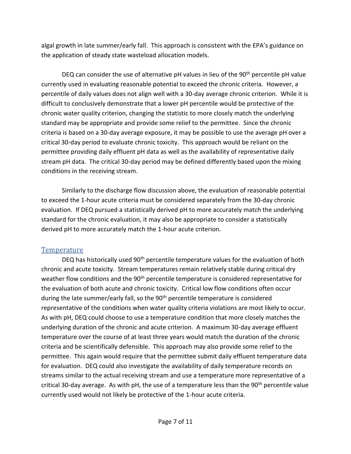algal growth in late summer/early fall. This approach is consistent with the EPA's guidance on the application of steady state wasteload allocation models.

DEQ can consider the use of alternative pH values in lieu of the  $90<sup>th</sup>$  percentile pH value currently used in evaluating reasonable potential to exceed the chronic criteria. However, a percentile of daily values does not align well with a 30-day average chronic criterion. While it is difficult to conclusively demonstrate that a lower pH percentile would be protective of the chronic water quality criterion, changing the statistic to more closely match the underlying standard may be appropriate and provide some relief to the permittee. Since the chronic criteria is based on a 30-day average exposure, it may be possible to use the average pH over a critical 30-day period to evaluate chronic toxicity. This approach would be reliant on the permittee providing daily effluent pH data as well as the availability of representative daily stream pH data. The critical 30-day period may be defined differently based upon the mixing conditions in the receiving stream.

Similarly to the discharge flow discussion above, the evaluation of reasonable potential to exceed the 1-hour acute criteria must be considered separately from the 30-day chronic evaluation. If DEQ pursued a statistically derived pH to more accurately match the underlying standard for the chronic evaluation, it may also be appropriate to consider a statistically derived pH to more accurately match the 1-hour acute criterion.

#### <span id="page-8-0"></span>**Temperature**

DEQ has historically used 90<sup>th</sup> percentile temperature values for the evaluation of both chronic and acute toxicity. Stream temperatures remain relatively stable during critical dry weather flow conditions and the  $90<sup>th</sup>$  percentile temperature is considered representative for the evaluation of both acute and chronic toxicity. Critical low flow conditions often occur during the late summer/early fall, so the 90<sup>th</sup> percentile temperature is considered representative of the conditions when water quality criteria violations are most likely to occur. As with pH, DEQ could choose to use a temperature condition that more closely matches the underlying duration of the chronic and acute criterion. A maximum 30-day average effluent temperature over the course of at least three years would match the duration of the chronic criteria and be scientifically defensible. This approach may also provide some relief to the permittee. This again would require that the permittee submit daily effluent temperature data for evaluation. DEQ could also investigate the availability of daily temperature records on streams similar to the actual receiving stream and use a temperature more representative of a critical 30-day average. As with pH, the use of a temperature less than the 90<sup>th</sup> percentile value currently used would not likely be protective of the 1-hour acute criteria.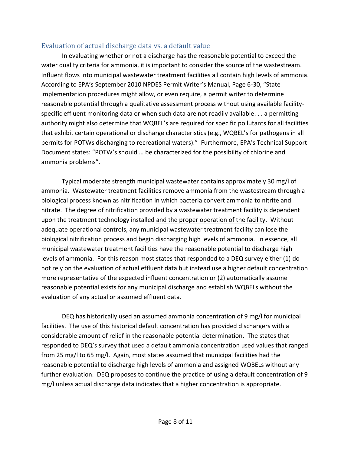### <span id="page-9-0"></span>Evaluation of actual discharge data vs. a default value

In evaluating whether or not a discharge has the reasonable potential to exceed the water quality criteria for ammonia, it is important to consider the source of the wastestream. Influent flows into municipal wastewater treatment facilities all contain high levels of ammonia. According to EPA's September 2010 NPDES Permit Writer's Manual, Page 6-30, "State implementation procedures might allow, or even require, a permit writer to determine reasonable potential through a qualitative assessment process without using available facilityspecific effluent monitoring data or when such data are not readily available. . . a permitting authority might also determine that WQBEL's are required for specific pollutants for all facilities that exhibit certain operational or discharge characteristics (e.g., WQBEL's for pathogens in all permits for POTWs discharging to recreational waters)." Furthermore, EPA's Technical Support Document states: "POTW's should … be characterized for the possibility of chlorine and ammonia problems".

Typical moderate strength municipal wastewater contains approximately 30 mg/l of ammonia. Wastewater treatment facilities remove ammonia from the wastestream through a biological process known as nitrification in which bacteria convert ammonia to nitrite and nitrate. The degree of nitrification provided by a wastewater treatment facility is dependent upon the treatment technology installed and the proper operation of the facility. Without adequate operational controls, any municipal wastewater treatment facility can lose the biological nitrification process and begin discharging high levels of ammonia. In essence, all municipal wastewater treatment facilities have the reasonable potential to discharge high levels of ammonia. For this reason most states that responded to a DEQ survey either (1) do not rely on the evaluation of actual effluent data but instead use a higher default concentration more representative of the expected influent concentration or (2) automatically assume reasonable potential exists for any municipal discharge and establish WQBELs without the evaluation of any actual or assumed effluent data.

DEQ has historically used an assumed ammonia concentration of 9 mg/l for municipal facilities. The use of this historical default concentration has provided dischargers with a considerable amount of relief in the reasonable potential determination. The states that responded to DEQ's survey that used a default ammonia concentration used values that ranged from 25 mg/l to 65 mg/l. Again, most states assumed that municipal facilities had the reasonable potential to discharge high levels of ammonia and assigned WQBELs without any further evaluation. DEQ proposes to continue the practice of using a default concentration of 9 mg/l unless actual discharge data indicates that a higher concentration is appropriate.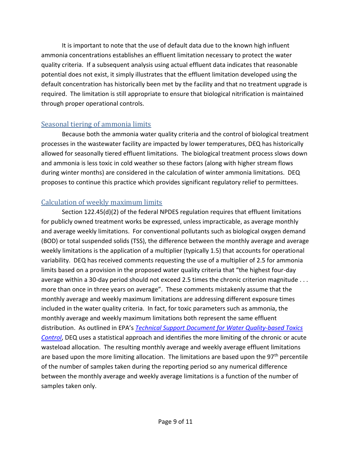It is important to note that the use of default data due to the known high influent ammonia concentrations establishes an effluent limitation necessary to protect the water quality criteria. If a subsequent analysis using actual effluent data indicates that reasonable potential does not exist, it simply illustrates that the effluent limitation developed using the default concentration has historically been met by the facility and that no treatment upgrade is required. The limitation is still appropriate to ensure that biological nitrification is maintained through proper operational controls.

### <span id="page-10-0"></span>Seasonal tiering of ammonia limits

Because both the ammonia water quality criteria and the control of biological treatment processes in the wastewater facility are impacted by lower temperatures, DEQ has historically allowed for seasonally tiered effluent limitations. The biological treatment process slows down and ammonia is less toxic in cold weather so these factors (along with higher stream flows during winter months) are considered in the calculation of winter ammonia limitations. DEQ proposes to continue this practice which provides significant regulatory relief to permittees.

### <span id="page-10-1"></span>Calculation of weekly maximum limits

Section 122.45(d)(2) of the federal NPDES regulation requires that effluent limitations for publicly owned treatment works be expressed, unless impracticable, as average monthly and average weekly limitations. For conventional pollutants such as biological oxygen demand (BOD) or total suspended solids (TSS), the difference between the monthly average and average weekly limitations is the application of a multiplier (typically 1.5) that accounts for operational variability. DEQ has received comments requesting the use of a multiplier of 2.5 for ammonia limits based on a provision in the proposed water quality criteria that "the highest four-day average within a 30-day period should not exceed 2.5 times the chronic criterion magnitude . . . more than once in three years on average". These comments mistakenly assume that the monthly average and weekly maximum limitations are addressing different exposure times included in the water quality criteria. In fact, for toxic parameters such as ammonia, the monthly average and weekly maximum limitations both represent the same effluent distribution. As outlined in EPA's *[Technical Support Document for Water Quality-based Toxics](https://www3.epa.gov/npdes/pubs/owm0264.pdf)  [Control](https://www3.epa.gov/npdes/pubs/owm0264.pdf)*, DEQ uses a statistical approach and identifies the more limiting of the chronic or acute wasteload allocation. The resulting monthly average and weekly average effluent limitations are based upon the more limiting allocation. The limitations are based upon the 97<sup>th</sup> percentile of the number of samples taken during the reporting period so any numerical difference between the monthly average and weekly average limitations is a function of the number of samples taken only.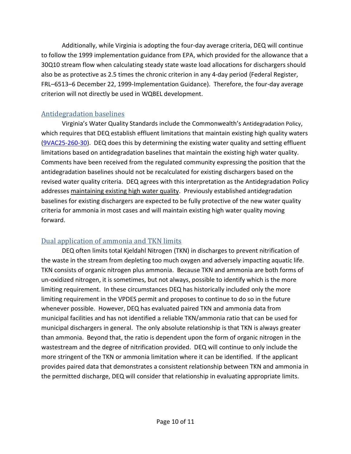Additionally, while Virginia is adopting the four-day average criteria, DEQ will continue to follow the 1999 implementation guidance from EPA, which provided for the allowance that a 30Q10 stream flow when calculating steady state waste load allocations for dischargers should also be as protective as 2.5 times the chronic criterion in any 4-day period (Federal Register, FRL–6513–6 December 22, 1999-Implementation Guidance). Therefore, the four-day average criterion will not directly be used in WQBEL development.

### <span id="page-11-0"></span>Antidegradation baselines

Virginia's Water Quality Standards include the Commonwealth's Antidegradation Policy, which requires that DEQ establish effluent limitations that maintain existing high quality waters [\(9VAC25-260-30\)](https://law.lis.virginia.gov/admincode/title9/agency25/chapter260/section30/). DEQ does this by determining the existing water quality and setting effluent limitations based on antidegradation baselines that maintain the existing high water quality. Comments have been received from the regulated community expressing the position that the antidegradation baselines should not be recalculated for existing dischargers based on the revised water quality criteria. DEQ agrees with this interpretation as the Antidegradation Policy addresses maintaining existing high water quality. Previously established antidegradation baselines for existing dischargers are expected to be fully protective of the new water quality criteria for ammonia in most cases and will maintain existing high water quality moving forward.

### <span id="page-11-1"></span>Dual application of ammonia and TKN limits

DEQ often limits total Kjeldahl Nitrogen (TKN) in discharges to prevent nitrification of the waste in the stream from depleting too much oxygen and adversely impacting aquatic life. TKN consists of organic nitrogen plus ammonia. Because TKN and ammonia are both forms of un-oxidized nitrogen, it is sometimes, but not always, possible to identify which is the more limiting requirement. In these circumstances DEQ has historically included only the more limiting requirement in the VPDES permit and proposes to continue to do so in the future whenever possible. However, DEQ has evaluated paired TKN and ammonia data from municipal facilities and has not identified a reliable TKN/ammonia ratio that can be used for municipal dischargers in general. The only absolute relationship is that TKN is always greater than ammonia. Beyond that, the ratio is dependent upon the form of organic nitrogen in the wastestream and the degree of nitrification provided. DEQ will continue to only include the more stringent of the TKN or ammonia limitation where it can be identified. If the applicant provides paired data that demonstrates a consistent relationship between TKN and ammonia in the permitted discharge, DEQ will consider that relationship in evaluating appropriate limits.